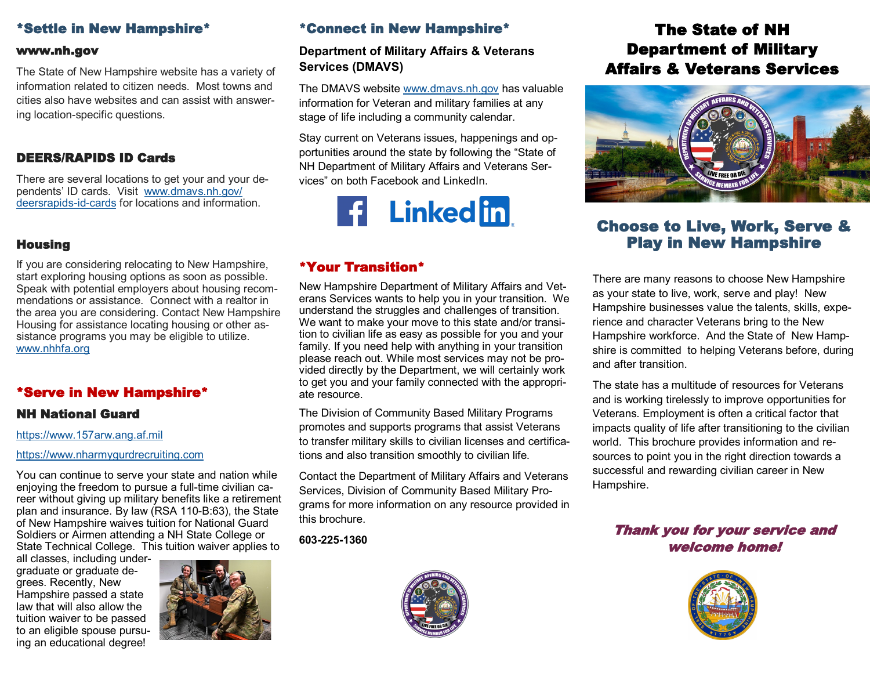## \*Settle in New Hampshire\*

#### www.nh.gov

The State of New Hampshire website has a variety of information related to citizen needs. Most towns and cities also have websites and can assist with answering location-specific questions.

### DEERS/RAPIDS ID Cards

There are several locations to get your and your dependents' ID cards. Visit [www.dmavs.nh.gov/](https://www.dmavs.nh.gov/deersrapids-id-cards) [deersrapids](https://www.dmavs.nh.gov/deersrapids-id-cards)-id-cards for locations and information.

## **Housing**

If you are considering relocating to New Hampshire, start exploring housing options as soon as possible. Speak with potential employers about housing recommendations or assistance. Connect with a realtor in the area you are considering. Contact New Hampshire Housing for assistance locating housing or other assistance programs you may be eligible to utilize. [www.nhhfa.org](https://www.nhhfa.org/)

## \*Serve in New Hampshire\*

### NH National Guard

#### [https://www.157arw.ang.af.mil](https://www.157arw.ang.af.mil/)

[https://www.nharmygurdrecruiting.com](https://nh.ng.mil/)

You can continue to serve your state and nation while enjoying the freedom to pursue a full-time civilian career without giving up military benefits like a retirement plan and insurance. By law (RSA 110-B:63), the State of New Hampshire waives tuition for National Guard Soldiers or Airmen attending a NH State College or State Technical College. This tuition waiver applies to

all classes, including undergraduate or graduate degrees. Recently, New Hampshire passed a state law that will also allow the tuition waiver to be passed to an eligible spouse pursuing an educational degree!



# \*Connect in New Hampshire\*

## **Department of Military Affairs & Veterans Services (DMAVS)**

The DMAVS website [www.dmavs.nh.gov](http://www.dmavs.nh.gov) has valuable information for Veteran and military families at any stage of life including a community calendar.

Stay current on Veterans issues, happenings and opportunities around the state by following the "State of NH Department of Military Affairs and Veterans Services" on both Facebook and LinkedIn.



# \*Your Transition\*

New Hampshire Department of Military Affairs and Veterans Services wants to help you in your transition. We understand the struggles and challenges of transition. We want to make your move to this state and/or transition to civilian life as easy as possible for you and your family. If you need help with anything in your transition please reach out. While most services may not be provided directly by the Department, we will certainly work to get you and your family connected with the appropriate resource.

The Division of Community Based Military Programs promotes and supports programs that assist Veterans to transfer military skills to civilian licenses and certifications and also transition smoothly to civilian life.

Contact the Department of Military Affairs and Veterans Services, Division of Community Based Military Programs for more information on any resource provided in this brochure.

**603-225-1360**



# The State of NH Department of Military Affairs & Veterans Services



# Choose to Live, Work, Serve & Play in New Hampshire

There are many reasons to choose New Hampshire as your state to live, work, serve and play! New Hampshire businesses value the talents, skills, experience and character Veterans bring to the New Hampshire workforce. And the State of New Hampshire is committed to helping Veterans before, during and after transition.

The state has a multitude of resources for Veterans and is working tirelessly to improve opportunities for Veterans. Employment is often a critical factor that impacts quality of life after transitioning to the civilian world. This brochure provides information and resources to point you in the right direction towards a successful and rewarding civilian career in New Hampshire.

# Thank you for your service and welcome home!